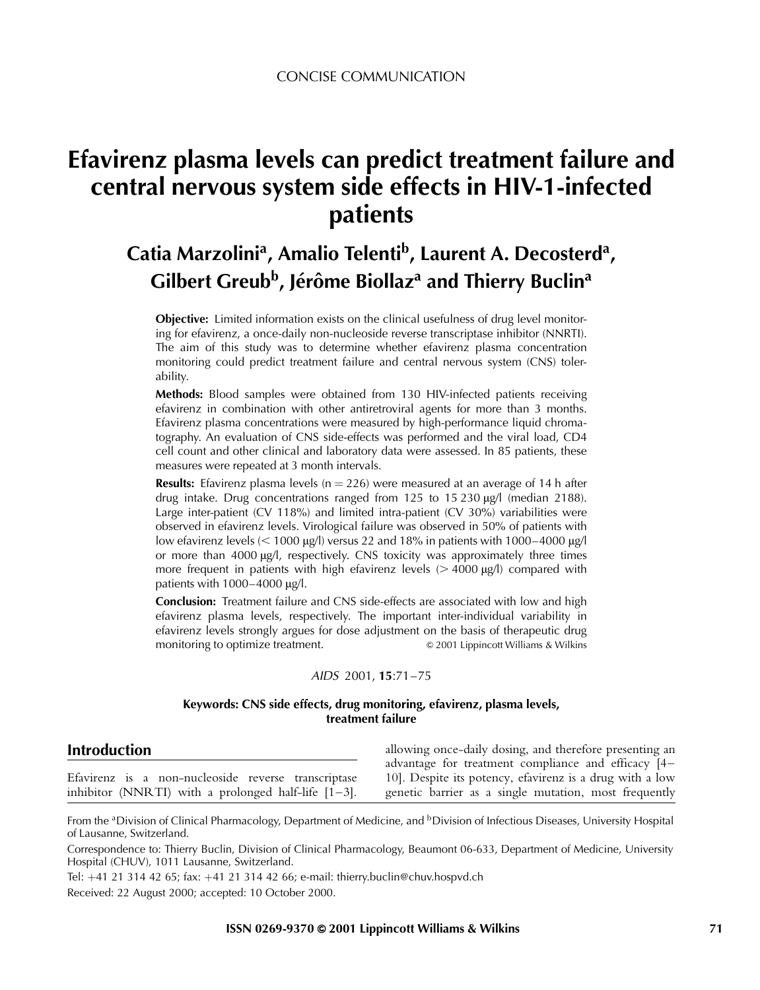# Efavirenz plasma levels can predict treatment failure and central nervous system side effects in HIV-1-infected patients

## Catia Marzolini<sup>a</sup>, Amalio Telenti<sup>b</sup>, Laurent A. Decosterd<sup>a</sup>, Gilbert Greub<sup>b</sup>, Jérôme Biollaz<sup>a</sup> and Thierry Buclin<sup>a</sup>

**Objective:** Limited information exists on the clinical usefulness of drug level monitoring for efavirenz, a once-daily non-nucleoside reverse transcriptase inhibitor (NNRTI). The aim of this study was to determine whether efavirenz plasma concentration monitoring could predict treatment failure and central nervous system (CNS) tolerability.

Methods: Blood samples were obtained from 130 HIV-infected patients receiving efavirenz in combination with other antiretroviral agents for more than 3 months. Efavirenz plasma concentrations were measured by high-performance liquid chromatography. An evaluation of CNS side-effects was performed and the viral load, CD4 cell count and other clinical and laboratory data were assessed. In 85 patients, these measures were repeated at 3 month intervals.

**Results:** Efavirenz plasma levels ( $n = 226$ ) were measured at an average of 14 h after drug intake. Drug concentrations ranged from 125 to 15 230  $\mu$ g/l (median 2188). Large inter-patient (CV 118%) and limited intra-patient (CV 30%) variabilities were observed in efavirenz levels. Virological failure was observed in 50% of patients with low efavirenz levels ( $<$  1000 µg/l) versus 22 and 18% in patients with 1000–4000 µg/l or more than  $4000 \mu g/l$ , respectively. CNS toxicity was approximately three times more frequent in patients with high efavirenz levels  $(> 4000 \mu g/l)$  compared with patients with  $1000-4000$   $\mu$ g/l.

**Conclusion:** Treatment failure and CNS side-effects are associated with low and high efavirenz plasma levels, respectively. The important inter-individual variability in efavirenz levels strongly argues for dose adjustment on the basis of therapeutic drug monitoring to optimize treatment.  $\bullet$  2001 Lippincott Williams & Wilkins

#### AIDS 2001, 15:71-75

#### Keywords: CNS side effects, drug monitoring, efavirenz, plasma levels, treatment failure

| <b>Introduction</b>                                    | allowing once-daily dosing, and therefore presenting an  |  |  |  |  |  |
|--------------------------------------------------------|----------------------------------------------------------|--|--|--|--|--|
|                                                        | advantage for treatment compliance and efficacy $[4-$    |  |  |  |  |  |
| Efavirenz is a non-nucleoside reverse transcriptase    | 10]. Despite its potency, efavirenz is a drug with a low |  |  |  |  |  |
| inhibitor (NNRTI) with a prolonged half-life $[1-3]$ . | genetic barrier as a single mutation, most frequently    |  |  |  |  |  |

From the <sup>a</sup>Division of Clinical Pharmacology, Department of Medicine, and <sup>b</sup>Division of Infectious Diseases, University Hospital of Lausanne, Switzerland.

Correspondence to: Thierry Buclin, Division of Clinical Pharmacology, Beaumont 06-633, Department of Medicine, University Hospital (CHUV), 1011 Lausanne, Switzerland.

Tel: 41 21 314 42 65; fax: 41 21 314 42 66; e-mail: thierry.buclin@chuv.hospvd.ch

Received: 22 August 2000; accepted: 10 October 2000.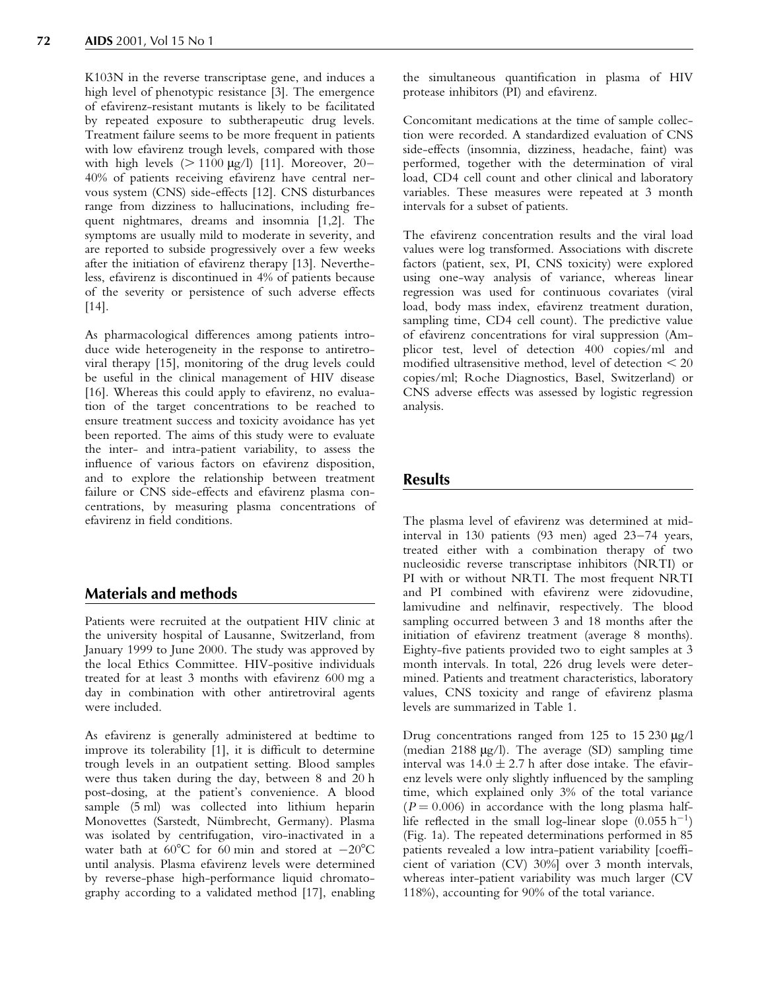K103N in the reverse transcriptase gene, and induces a high level of phenotypic resistance [\[3\]](#page-3-0). The emergence of efavirenz-resistant mutants is likely to be facilitated by repeated exposure to subtherapeutic drug levels. Treatment failure seems to be more frequent in patients with low efavirenz trough levels, compared with those with high levels ( $> 1100 \mu g/l$ ) [\[11\]](#page-4-0). Moreover, 20– 40% of patients receiving efavirenz have central nervous system (CNS) side-effects [\[12\]](#page-4-0). CNS disturbances range from dizziness to hallucinations, including frequent nightmares, dreams and insomnia [\[1,2\].](#page-3-0) The symptoms are usually mild to moderate in severity, and are reported to subside progressively over a few weeks after the initiation of efavirenz therapy [\[13\].](#page-4-0) Nevertheless, efavirenz is discontinued in 4% of patients because of the severity or persistence of such adverse effects [\[14\]](#page-4-0).

As pharmacological differences among patients introduce wide heterogeneity in the response to antiretroviral therapy [\[15\]](#page-4-0), monitoring of the drug levels could be useful in the clinical management of HIV disease [\[16\]](#page-4-0). Whereas this could apply to efavirenz, no evaluation of the target concentrations to be reached to ensure treatment success and toxicity avoidance has yet been reported. The aims of this study were to evaluate the inter- and intra-patient variability, to assess the influence of various factors on efavirenz disposition, and to explore the relationship between treatment failure or CNS side-effects and efavirenz plasma concentrations, by measuring plasma concentrations of efavirenz in field conditions.

## Materials and methods

Patients were recruited at the outpatient HIV clinic at the university hospital of Lausanne, Switzerland, from January 1999 to June 2000. The study was approved by the local Ethics Committee. HIV-positive individuals treated for at least 3 months with efavirenz 600 mg a day in combination with other antiretroviral agents were included.

As efavirenz is generally administered at bedtime to improve its tolerability  $[1]$ , it is difficult to determine trough levels in an outpatient setting. Blood samples were thus taken during the day, between 8 and 20 h post-dosing, at the patient's convenience. A blood sample (5 ml) was collected into lithium heparin Monovettes (Sarstedt, Nümbrecht, Germany). Plasma was isolated by centrifugation, viro-inactivated in a water bath at  $60^{\circ}$ C for  $60$  min and stored at  $-20^{\circ}$ C until analysis. Plasma efavirenz levels were determined by reverse-phase high-performance liquid chromatography according to a validated method [\[17\]](#page-4-0), enabling the simultaneous quantification in plasma of HIV protease inhibitors (PI) and efavirenz.

Concomitant medications at the time of sample collection were recorded. A standardized evaluation of CNS side-effects (insomnia, dizziness, headache, faint) was performed, together with the determination of viral load, CD4 cell count and other clinical and laboratory variables. These measures were repeated at 3 month intervals for a subset of patients.

The efavirenz concentration results and the viral load values were log transformed. Associations with discrete factors (patient, sex, PI, CNS toxicity) were explored using one-way analysis of variance, whereas linear regression was used for continuous covariates (viral load, body mass index, efavirenz treatment duration, sampling time, CD4 cell count). The predictive value of efavirenz concentrations for viral suppression (Amplicor test, level of detection 400 copies/ml and modified ultrasensitive method, level of detection  $<$  20 copies/ml; Roche Diagnostics, Basel, Switzerland) or CNS adverse effects was assessed by logistic regression analysis.

### Results

The plasma level of efavirenz was determined at midinterval in  $130$  patients (93 men) aged  $23-74$  years, treated either with a combination therapy of two nucleosidic reverse transcriptase inhibitors (NRTI) or PI with or without NRTI. The most frequent NRTI and PI combined with efavirenz were zidovudine, lamivudine and nelfinavir, respectively. The blood sampling occurred between 3 and 18 months after the initiation of efavirenz treatment (average 8 months). Eighty-five patients provided two to eight samples at 3 month intervals. In total, 226 drug levels were determined. Patients and treatment characteristics, laboratory values, CNS toxicity and range of efavirenz plasma levels are summarized in [Table 1.](#page-2-0)

Drug concentrations ranged from 125 to 15 230  $\mu$ g/l (median  $2188 \mu g/l$ ). The average (SD) sampling time interval was  $14.0 \pm 2.7$  h after dose intake. The efavirenz levels were only slightly influenced by the sampling time, which explained only 3% of the total variance  $(P = 0.006)$  in accordance with the long plasma halflife reflected in the small log-linear slope  $(0.055 h^{-1})$ (Fig. [1a](#page-2-0)). The repeated determinations performed in 85 patients revealed a low intra-patient variability [coefficient of variation (CV) 30%] over 3 month intervals, whereas inter-patient variability was much larger (CV 118%), accounting for 90% of the total variance.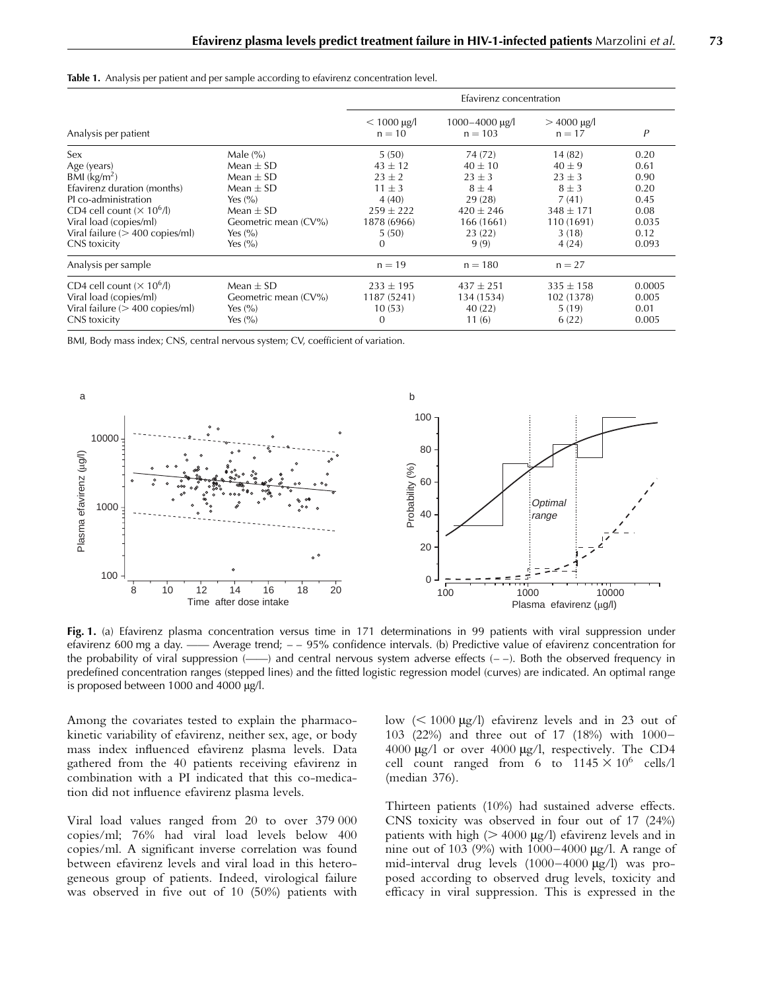<span id="page-2-0"></span>

|  |  |  |  |  |  |  |  |  |  |  |  |  | <b>Table 1.</b> Analysis per patient and per sample according to efavirenz concentration level. |  |  |  |  |
|--|--|--|--|--|--|--|--|--|--|--|--|--|-------------------------------------------------------------------------------------------------|--|--|--|--|
|--|--|--|--|--|--|--|--|--|--|--|--|--|-------------------------------------------------------------------------------------------------|--|--|--|--|

|                                                             |                      | Efavirenz concentration              |                                  |                           |        |  |  |  |
|-------------------------------------------------------------|----------------------|--------------------------------------|----------------------------------|---------------------------|--------|--|--|--|
| Analysis per patient                                        |                      | $< 1000 \,\mathrm{µg/l}$<br>$n = 10$ | $1000 - 4000 \mu g$<br>$n = 103$ | $>$ 4000 µg/l<br>$n = 17$ | Ρ      |  |  |  |
| Sex                                                         | Male $(\% )$         | 5(50)                                | 74 (72)                          | 14(82)                    | 0.20   |  |  |  |
| Age (years)                                                 | Mean $\pm$ SD        | $43 \pm 12$                          | $40 \pm 10$                      | $40 \pm 9$                | 0.61   |  |  |  |
| BMI $(kg/m2)$                                               | Mean $\pm$ SD        | $23 \pm 2$                           | $23 \pm 3$                       | $23 \pm 3$                | 0.90   |  |  |  |
| Efavirenz duration (months)                                 | Mean $\pm$ SD        | $11 \pm 3$                           | $8 \pm 4$                        | $8 \pm 3$                 | 0.20   |  |  |  |
| PI co-administration                                        | Yes $(\% )$          | 4(40)                                | 29(28)                           | 7(41)                     | 0.45   |  |  |  |
| CD4 cell count $(\times 10^6$ /l)                           | Mean $\pm$ SD        | $259 \pm 222$                        | $420 \pm 246$                    | $348 \pm 171$             | 0.08   |  |  |  |
| Viral load (copies/ml)<br>Viral failure $(> 400$ copies/ml) | Geometric mean (CV%) | 1878 (6966)                          | 166 (1661)                       | 110 (1691)                | 0.035  |  |  |  |
| CNS toxicity                                                | Yes $(\% )$          | 5(50)                                | 23(22)                           | 3(18)                     | 0.12   |  |  |  |
|                                                             | Yes $(\% )$          | $\Omega$                             | 9(9)                             | 4(24)                     | 0.093  |  |  |  |
| Analysis per sample                                         |                      | $n = 19$                             | $n = 180$                        | $n = 27$                  |        |  |  |  |
| CD4 cell count $(\times 10^6$ /l)                           | Mean $\pm$ SD        | $233 \pm 195$                        | $437 \pm 251$                    | $335 \pm 158$             | 0.0005 |  |  |  |
| Viral load (copies/ml)                                      | Geometric mean (CV%) | 1187 (5241)                          | 134 (1534)                       | 102 (1378)                | 0.005  |  |  |  |
| Viral failure $(>400$ copies/ml)                            | Yes $(\% )$          | 10(53)                               | 40(22)                           | 5(19)                     | 0.01   |  |  |  |
| CNS toxicity                                                | Yes $(\% )$          | $\Omega$                             | 11(6)                            | 6(22)                     | 0.005  |  |  |  |

BMI, Body mass index; CNS, central nervous system; CV, coefficient of variation.



Fig. 1. (a) Efavirenz plasma concentration versus time in 171 determinations in 99 patients with viral suppression under efavirenz 600 mg a day. — Average trend;  $-$  95% confidence intervals. (b) Predictive value of efavirenz concentration for the probability of viral suppression  $\overline{(-)}$  and central nervous system adverse effects  $(-)$ . Both the observed frequency in predefined concentration ranges (stepped lines) and the fitted logistic regression model (curves) are indicated. An optimal range is proposed between 1000 and 4000  $\mu$ g/l.

Among the covariates tested to explain the pharmacokinetic variability of efavirenz, neither sex, age, or body mass index influenced efavirenz plasma levels. Data gathered from the 40 patients receiving efavirenz in combination with a PI indicated that this co-medication did not influence efavirenz plasma levels.

Viral load values ranged from 20 to over 379 000 copies/ml; 76% had viral load levels below 400 copies/ml. A significant inverse correlation was found between efavirenz levels and viral load in this heterogeneous group of patients. Indeed, virological failure was observed in five out of  $10$  (50%) patients with low  $(< 1000 \text{ µg/l})$  efavirenz levels and in 23 out of 103 (22%) and three out of 17 (18%) with 1000-4000  $\mu$ g/l or over 4000  $\mu$ g/l, respectively. The CD4 cell count ranged from 6 to  $1145 \times 10^6$  cells/1 (median 376).

Thirteen patients (10%) had sustained adverse effects. CNS toxicity was observed in four out of 17 (24%) patients with high ( $>$  4000  $\mu$ g/l) efavirenz levels and in nine out of 103 (9%) with  $1000-4000$  µg/l. A range of mid-interval drug levels  $(1000-4000 \mu g/l)$  was proposed according to observed drug levels, toxicity and efficacy in viral suppression. This is expressed in the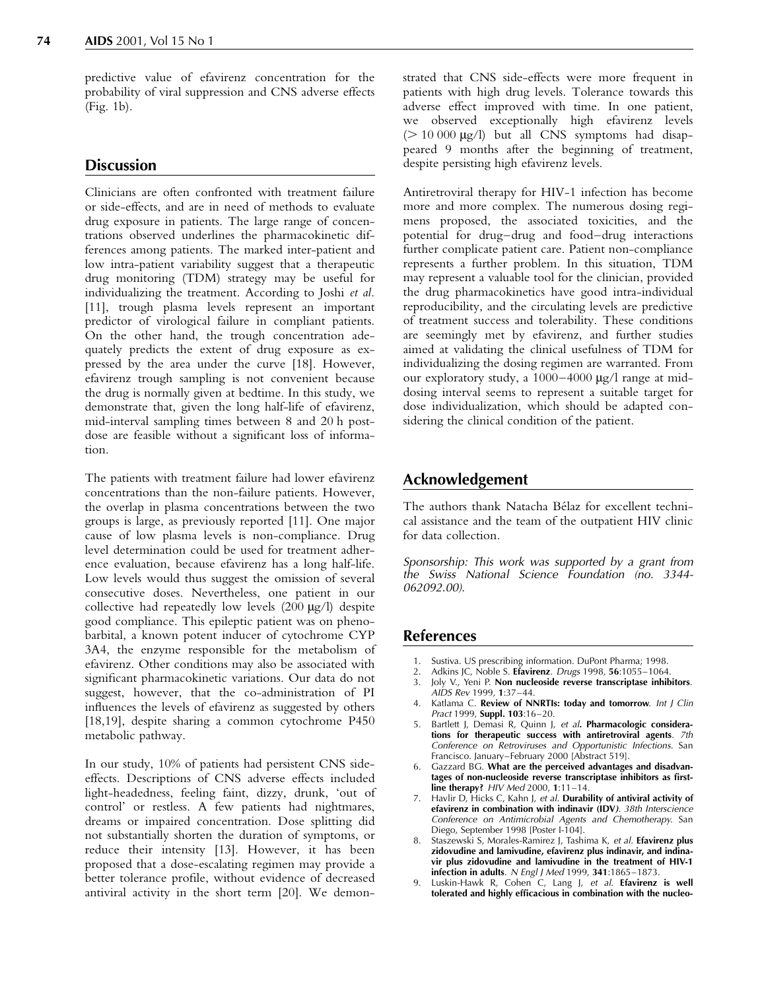<span id="page-3-0"></span>predictive value of efavirenz concentration for the probability of viral suppression and CNS adverse effects (Fig[. 1b](#page-2-0)).

#### **Discussion**

Clinicians are often confronted with treatment failure or side-effects, and are in need of methods to evaluate drug exposure in patients. The large range of concentrations observed underlines the pharmacokinetic differences among patients. The marked inter-patient and low intra-patient variability suggest that a therapeutic drug monitoring (TDM) strategy may be useful for individualizing the treatment. According to Joshi et al. [\[11\]](#page-4-0), trough plasma levels represent an important predictor of virological failure in compliant patients. On the other hand, the trough concentration adequately predicts the extent of drug exposure as expressed by the area under the curve [\[18\]](#page-4-0). However, efavirenz trough sampling is not convenient because the drug is normally given at bedtime. In this study, we demonstrate that, given the long half-life of efavirenz, mid-interval sampling times between 8 and 20 h postdose are feasible without a significant loss of information.

The patients with treatment failure had lower efavirenz concentrations than the non-failure patients. However, the overlap in plasma concentrations between the two groups is large, as previously reported [\[11\]](#page-4-0). One major cause of low plasma levels is non-compliance. Drug level determination could be used for treatment adherence evaluation, because efavirenz has a long half-life. Low levels would thus suggest the omission of several consecutive doses. Nevertheless, one patient in our collective had repeatedly low levels  $(200 \mu g/l)$  despite good compliance. This epileptic patient was on phenobarbital, a known potent inducer of cytochrome CYP 3A4, the enzyme responsible for the metabolism of efavirenz. Other conditions may also be associated with significant pharmacokinetic variations. Our data do not suggest, however, that the co-administration of PI influences the levels of efavirenz as suggested by others [\[18,19\]](#page-4-0), despite sharing a common cytochrome P450 metabolic pathway.

In our study, 10% of patients had persistent CNS sideeffects. Descriptions of CNS adverse effects included light-headedness, feeling faint, dizzy, drunk, `out of control' or restless. A few patients had nightmares, dreams or impaired concentration. Dose splitting did not substantially shorten the duration of symptoms, or reduce their intensity [\[13\]](#page-4-0). However, it has been proposed that a dose-escalating regimen may provide a better tolerance profile, without evidence of decreased antiviral activity in the short term [\[20\]](#page-4-0). We demonstrated that CNS side-effects were more frequent in patients with high drug levels. Tolerance towards this adverse effect improved with time. In one patient, we observed exceptionally high efavirenz levels  $(> 10 000 \mu g/l)$  but all CNS symptoms had disappeared 9 months after the beginning of treatment, despite persisting high efavirenz levels.

Antiretroviral therapy for HIV-1 infection has become more and more complex. The numerous dosing regimens proposed, the associated toxicities, and the potential for drug-drug and food-drug interactions further complicate patient care. Patient non-compliance represents a further problem. In this situation, TDM may represent a valuable tool for the clinician, provided the drug pharmacokinetics have good intra-individual reproducibility, and the circulating levels are predictive of treatment success and tolerability. These conditions are seemingly met by efavirenz, and further studies aimed at validating the clinical usefulness of TDM for individualizing the dosing regimen are warranted. From our exploratory study, a  $1000-4000$   $\mu$ g/l range at middosing interval seems to represent a suitable target for dose individualization, which should be adapted considering the clinical condition of the patient.

### Acknowledgement

The authors thank Natacha Bélaz for excellent technical assistance and the team of the outpatient HIV clinic for data collection.

Sponsorship: This work was supported by a grant from the Swiss National Science Foundation (no. 3344- 062092.00).

#### References

- 1. Sustiva. US prescribing information. DuPont Pharma; 1998.<br>2. Adkins IC. Noble S. Etavirenz. Drugs 1998. 56:1055-1064.
- Adkins JC, Noble S. Efavirenz. Drugs 1998, 56:1055-1064.
- 3. Joly V., Yeni P. Non nucleoside reverse transcriptase inhibitors. AIDS Rev 1999, 1:37±44.
- Katlama C. Review of NNRTIs: today and tomorrow. Int J Clin Pract 1999, Suppl. 103:16-20.
- Bartlett J, Demasi R, Quinn J, et al. Pharmacologic considerations for therapeutic success with antiretroviral agents. 7th Conference on Retroviruses and Opportunistic Infections. San Francisco. January-February 2000 [Abstract 519].
- 6. Gazzard BG. What are the perceived advantages and disadvantages of non-nucleoside reverse transcriptase inhibitors as firstline therapy?  $H/V$  Med 2000, 1:11-14.
- 7. Havlir D, Hicks C, Kahn J, et al. Durability of antiviral activity of efavirenz in combination with indinavir (IDV). 38th Interscience Conference on Antimicrobial Agents and Chemotherapy. San Diego, September 1998 [Poster I-104].
- Staszewski S, Morales-Ramirez J, Tashima K, et al. Efavirenz plus zidovudine and lamivudine, efavirenz plus indinavir, and indinavir plus zidovudine and lamivudine in the treatment of HIV-1 infection in adults.  $N$  Engl J Med 1999, 341:1865-1873.
- Luskin-Hawk R, Cohen C, Lang J, et al. Efavirenz is well tolerated and highly efficacious in combination with the nucleo-